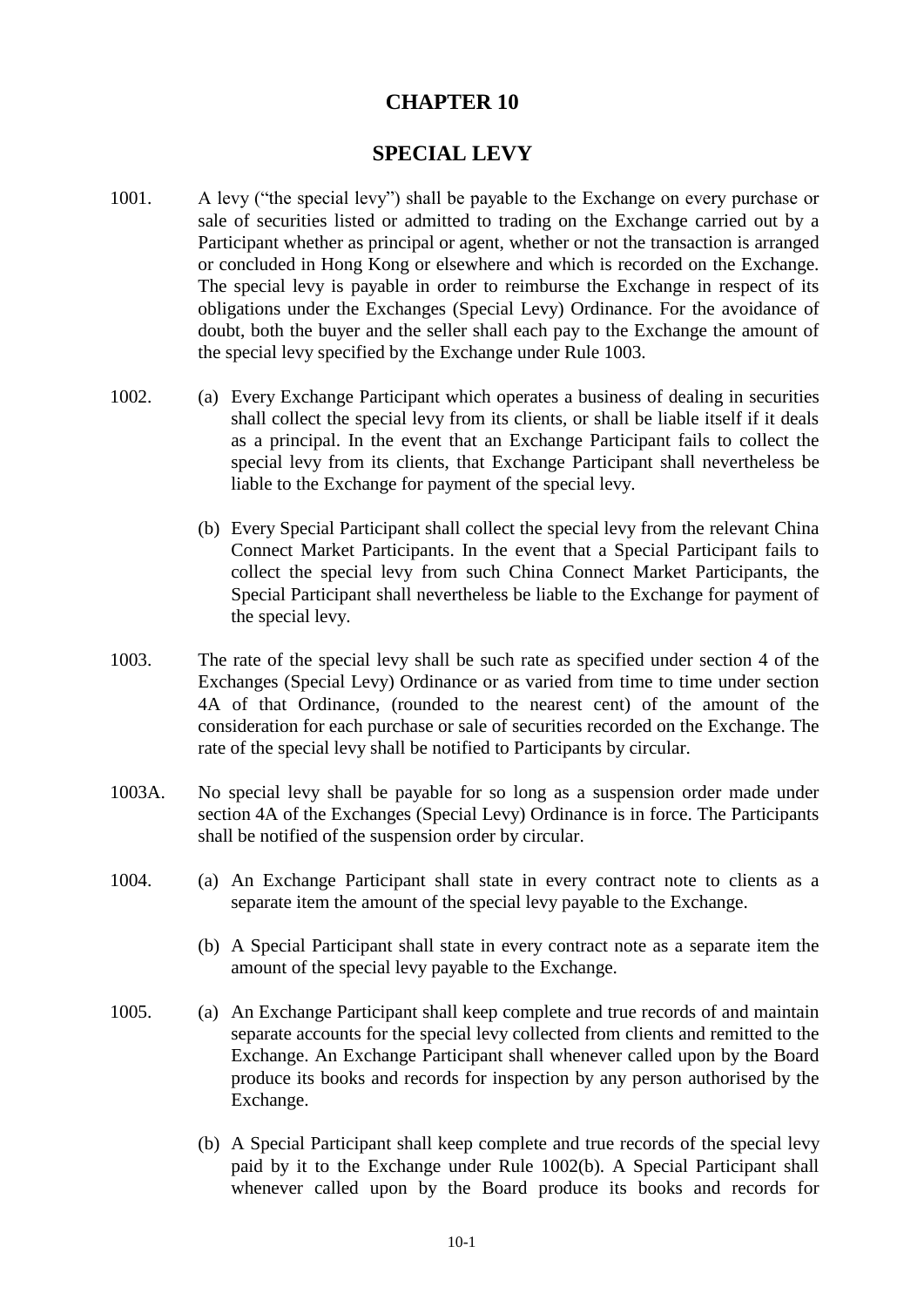## **CHAPTER 10**

## **SPECIAL LEVY**

- 1001. A levy ("the special levy") shall be payable to the Exchange on every purchase or sale of securities listed or admitted to trading on the Exchange carried out by a Participant whether as principal or agent, whether or not the transaction is arranged or concluded in Hong Kong or elsewhere and which is recorded on the Exchange. The special levy is payable in order to reimburse the Exchange in respect of its obligations under the Exchanges (Special Levy) Ordinance. For the avoidance of doubt, both the buyer and the seller shall each pay to the Exchange the amount of the special levy specified by the Exchange under Rule 1003.
- 1002. (a) Every Exchange Participant which operates a business of dealing in securities shall collect the special levy from its clients, or shall be liable itself if it deals as a principal. In the event that an Exchange Participant fails to collect the special levy from its clients, that Exchange Participant shall nevertheless be liable to the Exchange for payment of the special levy.
	- (b) Every Special Participant shall collect the special levy from the relevant China Connect Market Participants. In the event that a Special Participant fails to collect the special levy from such China Connect Market Participants, the Special Participant shall nevertheless be liable to the Exchange for payment of the special levy.
- 1003. The rate of the special levy shall be such rate as specified under section 4 of the Exchanges (Special Levy) Ordinance or as varied from time to time under section 4A of that Ordinance, (rounded to the nearest cent) of the amount of the consideration for each purchase or sale of securities recorded on the Exchange. The rate of the special levy shall be notified to Participants by circular.
- 1003A. No special levy shall be payable for so long as a suspension order made under section 4A of the Exchanges (Special Levy) Ordinance is in force. The Participants shall be notified of the suspension order by circular.
- 1004. (a) An Exchange Participant shall state in every contract note to clients as a separate item the amount of the special levy payable to the Exchange.
	- (b) A Special Participant shall state in every contract note as a separate item the amount of the special levy payable to the Exchange.
- 1005. (a) An Exchange Participant shall keep complete and true records of and maintain separate accounts for the special levy collected from clients and remitted to the Exchange. An Exchange Participant shall whenever called upon by the Board produce its books and records for inspection by any person authorised by the Exchange.
	- (b) A Special Participant shall keep complete and true records of the special levy paid by it to the Exchange under Rule 1002(b). A Special Participant shall whenever called upon by the Board produce its books and records for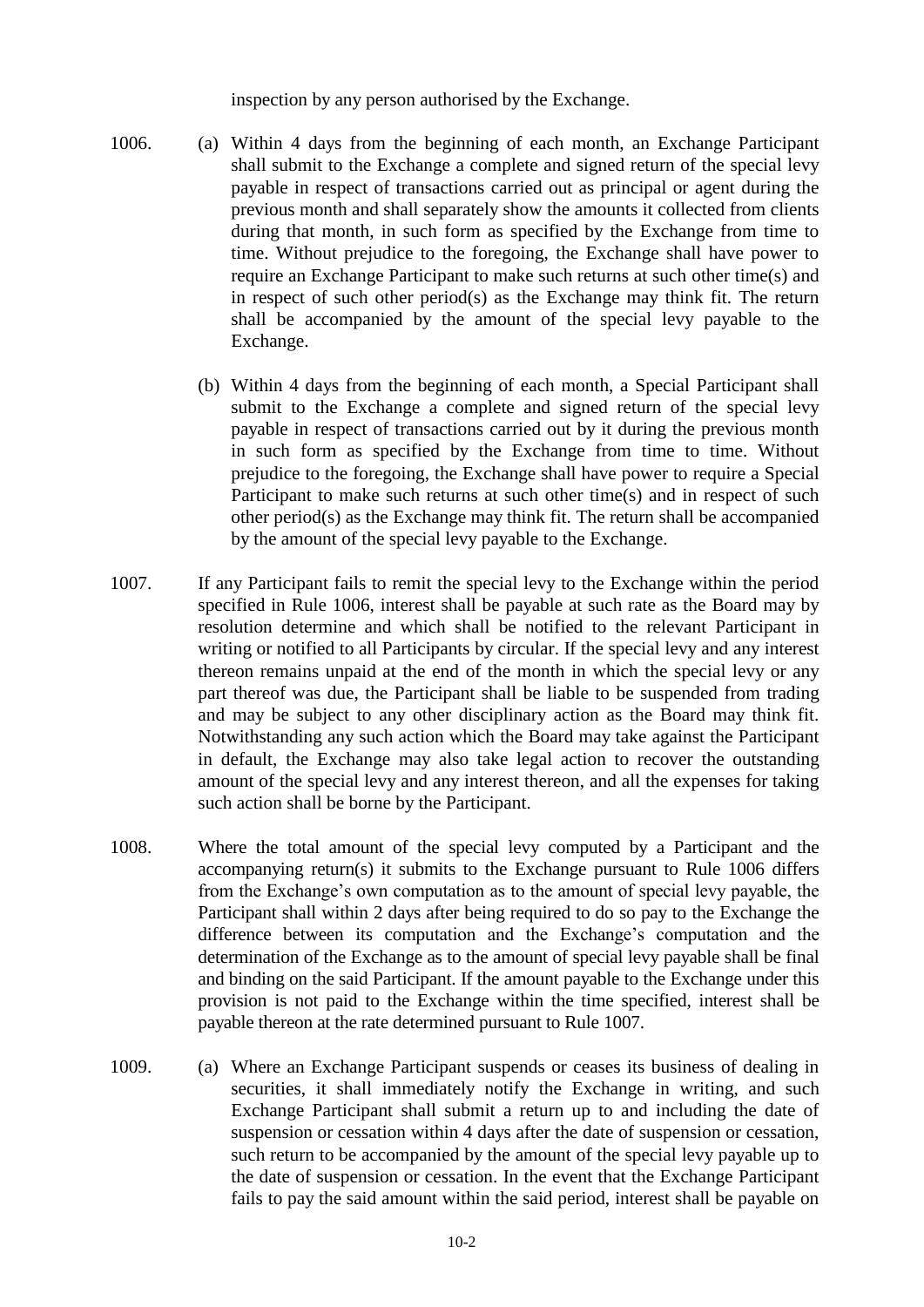inspection by any person authorised by the Exchange.

- 1006. (a) Within 4 days from the beginning of each month, an Exchange Participant shall submit to the Exchange a complete and signed return of the special levy payable in respect of transactions carried out as principal or agent during the previous month and shall separately show the amounts it collected from clients during that month, in such form as specified by the Exchange from time to time. Without prejudice to the foregoing, the Exchange shall have power to require an Exchange Participant to make such returns at such other time(s) and in respect of such other period(s) as the Exchange may think fit. The return shall be accompanied by the amount of the special levy payable to the Exchange.
	- (b) Within 4 days from the beginning of each month, a Special Participant shall submit to the Exchange a complete and signed return of the special levy payable in respect of transactions carried out by it during the previous month in such form as specified by the Exchange from time to time. Without prejudice to the foregoing, the Exchange shall have power to require a Special Participant to make such returns at such other time(s) and in respect of such other period(s) as the Exchange may think fit. The return shall be accompanied by the amount of the special levy payable to the Exchange.
- 1007. If any Participant fails to remit the special levy to the Exchange within the period specified in Rule 1006, interest shall be payable at such rate as the Board may by resolution determine and which shall be notified to the relevant Participant in writing or notified to all Participants by circular. If the special levy and any interest thereon remains unpaid at the end of the month in which the special levy or any part thereof was due, the Participant shall be liable to be suspended from trading and may be subject to any other disciplinary action as the Board may think fit. Notwithstanding any such action which the Board may take against the Participant in default, the Exchange may also take legal action to recover the outstanding amount of the special levy and any interest thereon, and all the expenses for taking such action shall be borne by the Participant.
- 1008. Where the total amount of the special levy computed by a Participant and the accompanying return(s) it submits to the Exchange pursuant to Rule 1006 differs from the Exchange's own computation as to the amount of special levy payable, the Participant shall within 2 days after being required to do so pay to the Exchange the difference between its computation and the Exchange's computation and the determination of the Exchange as to the amount of special levy payable shall be final and binding on the said Participant. If the amount payable to the Exchange under this provision is not paid to the Exchange within the time specified, interest shall be payable thereon at the rate determined pursuant to Rule 1007.
- 1009. (a) Where an Exchange Participant suspends or ceases its business of dealing in securities, it shall immediately notify the Exchange in writing, and such Exchange Participant shall submit a return up to and including the date of suspension or cessation within 4 days after the date of suspension or cessation, such return to be accompanied by the amount of the special levy payable up to the date of suspension or cessation. In the event that the Exchange Participant fails to pay the said amount within the said period, interest shall be payable on